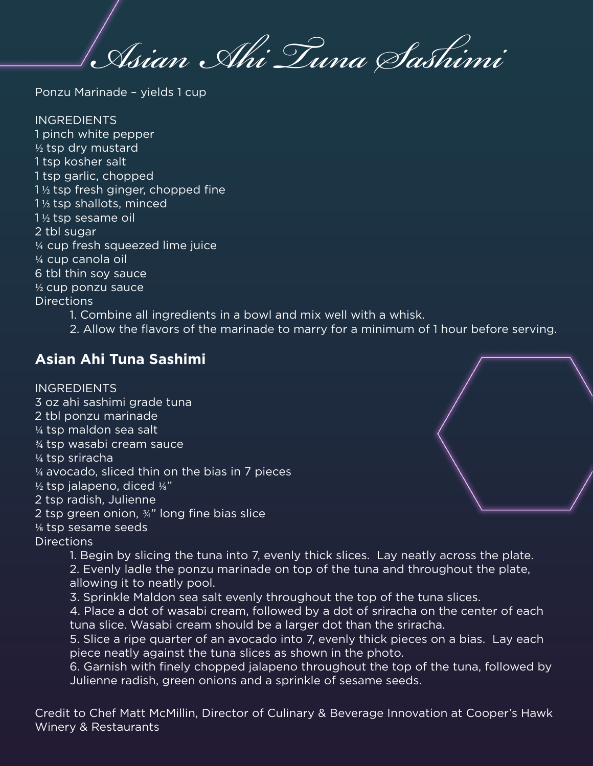*Asian Ahi Tuna Sashimi*

Ponzu Marinade – yields 1 cup

INGREDIENTS 1 pinch white pepper  $\frac{1}{2}$  tsp dry mustard 1 tsp kosher salt 1 tsp garlic, chopped  $1\frac{1}{2}$  tsp fresh ginger, chopped fine 1 ½ tsp shallots, minced 1 ½ tsp sesame oil 2 tbl sugar ¼ cup fresh squeezed lime juice ¼ cup canola oil 6 tbl thin soy sauce ½ cup ponzu sauce Directions

1. Combine all ingredients in a bowl and mix well with a whisk.

2. Allow the flavors of the marinade to marry for a minimum of 1 hour before serving.

## **Asian Ahi Tuna Sashimi**

**INGREDIENTS** 3 oz ahi sashimi grade tuna 2 tbl ponzu marinade ¼ tsp maldon sea salt ¾ tsp wasabi cream sauce ¼ tsp sriracha ¼ avocado, sliced thin on the bias in 7 pieces  $\frac{1}{2}$  tsp jalapeno, diced  $\frac{1}{8}$ " 2 tsp radish, Julienne 2 tsp green onion, ¾" long fine bias slice 1⁄8 tsp sesame seeds **Directions** 

1. Begin by slicing the tuna into 7, evenly thick slices. Lay neatly across the plate.

2. Evenly ladle the ponzu marinade on top of the tuna and throughout the plate,

- allowing it to neatly pool.
- 3. Sprinkle Maldon sea salt evenly throughout the top of the tuna slices.

4. Place a dot of wasabi cream, followed by a dot of sriracha on the center of each tuna slice. Wasabi cream should be a larger dot than the sriracha.

5. Slice a ripe quarter of an avocado into 7, evenly thick pieces on a bias. Lay each piece neatly against the tuna slices as shown in the photo.

6. Garnish with finely chopped jalapeno throughout the top of the tuna, followed by Julienne radish, green onions and a sprinkle of sesame seeds.

Credit to Chef Matt McMillin, Director of Culinary & Beverage Innovation at Cooper's Hawk Winery & Restaurants